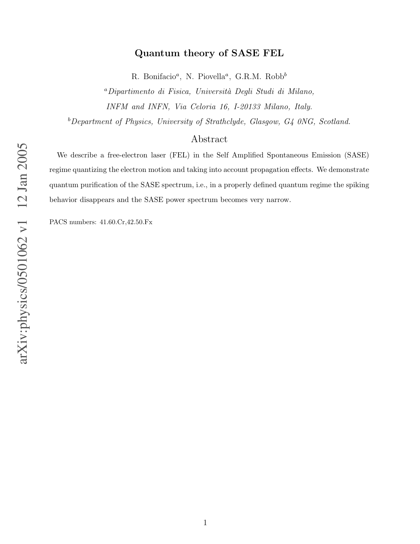## Quantum theory of SASE FEL

R. Bonifacio<sup>a</sup>, N. Piovella<sup>a</sup>, G.R.M. Robb<sup>b</sup>

<sup>a</sup>Dipartimento di Fisica, Universit`a Degli Studi di Milano, INFM and INFN, Via Celoria 16, I-20133 Milano, Italy.

 $b$ Department of Physics, University of Strathclyde, Glasgow, G4 0NG, Scotland.

## Abstract

We describe a free-electron laser (FEL) in the Self Amplified Spontaneous Emission (SASE) regime quantizing the electron motion and taking into account propagation effects. We demonstrate quantum purification of the SASE spectrum, i.e., in a properly defined quantum regime the spiking behavior disappears and the SASE power spectrum becomes very narrow.

PACS numbers: 41.60.Cr,42.50.Fx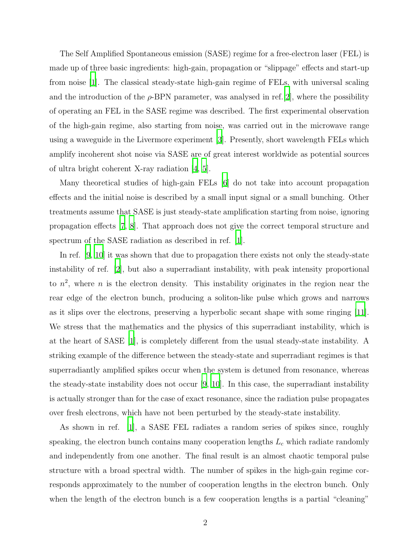The Self Amplified Spontaneous emission (SASE) regime for a free-electron laser (FEL) is made up of three basic ingredients: high-gain, propagation or "slippage" effects and start-up from noise [\[1\]](#page-8-0). The classical steady-state high-gain regime of FELs, with universal scaling and the introduction of the  $\rho$ -BPN parameter, was analysed in ref. [\[2](#page-8-1)], where the possibility of operating an FEL in the SASE regime was described. The first experimental observation of the high-gain regime, also starting from noise, was carried out in the microwave range using a waveguide in the Livermore experiment [\[3\]](#page-8-2). Presently, short wavelength FELs which amplify incoherent shot noise via SASE are of great interest worldwide as potential sources of ultra bright coherent X-ray radiation [\[4](#page-8-3), [5](#page-8-4)].

Many theoretical studies of high-gain FELs [\[6](#page-8-5)] do not take into account propagation effects and the initial noise is described by a small input signal or a small bunching. Other treatments assume that SASE is just steady-state amplification starting from noise, ignoring propagation effects [\[7](#page-8-6), [8](#page-8-7)]. That approach does not give the correct temporal structure and spectrum of the SASE radiation as described in ref. [\[1](#page-8-0)].

In ref. [\[9,](#page-8-8) [10](#page-8-9)] it was shown that due to propagation there exists not only the steady-state instability of ref. [\[2\]](#page-8-1), but also a superradiant instability, with peak intensity proportional to  $n^2$ , where n is the electron density. This instability originates in the region near the rear edge of the electron bunch, producing a soliton-like pulse which grows and narrows as it slips over the electrons, preserving a hyperbolic secant shape with some ringing [\[11\]](#page-8-10). We stress that the mathematics and the physics of this superradiant instability, which is at the heart of SASE [\[1](#page-8-0)], is completely different from the usual steady-state instability. A striking example of the difference between the steady-state and superradiant regimes is that superradiantly amplified spikes occur when the system is detuned from resonance, whereas the steady-state instability does not occur  $[9, 10]$  $[9, 10]$  $[9, 10]$ . In this case, the superradiant instability is actually stronger than for the case of exact resonance, since the radiation pulse propagates over fresh electrons, which have not been perturbed by the steady-state instability.

As shown in ref. [\[1\]](#page-8-0), a SASE FEL radiates a random series of spikes since, roughly speaking, the electron bunch contains many cooperation lengths  $L<sub>c</sub>$  which radiate randomly and independently from one another. The final result is an almost chaotic temporal pulse structure with a broad spectral width. The number of spikes in the high-gain regime corresponds approximately to the number of cooperation lengths in the electron bunch. Only when the length of the electron bunch is a few cooperation lengths is a partial "cleaning"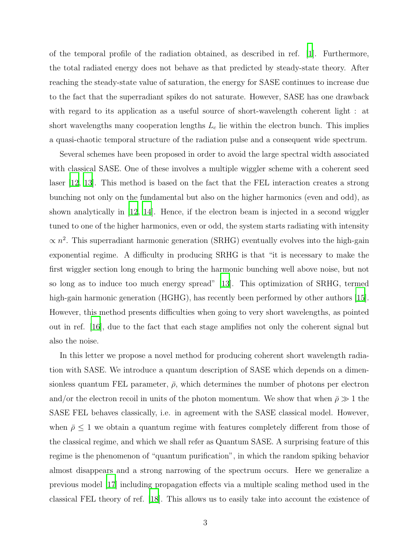of the temporal profile of the radiation obtained, as described in ref. [\[1](#page-8-0)]. Furthermore, the total radiated energy does not behave as that predicted by steady-state theory. After reaching the steady-state value of saturation, the energy for SASE continues to increase due to the fact that the superradiant spikes do not saturate. However, SASE has one drawback with regard to its application as a useful source of short-wavelength coherent light : at short wavelengths many cooperation lengths  $L<sub>c</sub>$  lie within the electron bunch. This implies a quasi-chaotic temporal structure of the radiation pulse and a consequent wide spectrum.

<span id="page-2-0"></span>Several schemes have been proposed in order to avoid the large spectral width associated with classical SASE. One of these involves a multiple wiggler scheme with a coherent seed laser [\[12,](#page-8-11) [13](#page-8-12)]. This method is based on the fact that the FEL interaction creates a strong bunching not only on the fundamental but also on the higher harmonics (even and odd), as shown analytically in [\[12](#page-8-11), [14\]](#page-9-0). Hence, if the electron beam is injected in a second wiggler tuned to one of the higher harmonics, even or odd, the system starts radiating with intensity  $\propto n^2$ . This superradiant harmonic generation (SRHG) eventually evolves into the high-gain exponential regime. A difficulty in producing SRHG is that "it is necessary to make the first wiggler section long enough to bring the harmonic bunching well above noise, but not so long as to induce too much energy spread" [\[13\]](#page-8-12). This optimization of SRHG, termed high-gain harmonic generation (HGHG), has recently been performed by other authors [\[15\]](#page-9-1). However, this method presents difficulties when going to very short wavelengths, as pointed out in ref. [\[16\]](#page-9-2), due to the fact that each stage amplifies not only the coherent signal but also the noise.

In this letter we propose a novel method for producing coherent short wavelength radiation with SASE. We introduce a quantum description of SASE which depends on a dimensionless quantum FEL parameter,  $\bar{\rho}$ , which determines the number of photons per electron and/or the electron recoil in units of the photon momentum. We show that when  $\bar{\rho} \gg 1$  the SASE FEL behaves classically, i.e. in agreement with the SASE classical model. However, when  $\bar{\rho} \leq 1$  we obtain a quantum regime with features completely different from those of the classical regime, and which we shall refer as Quantum SASE. A surprising feature of this regime is the phenomenon of "quantum purification", in which the random spiking behavior almost disappears and a strong narrowing of the spectrum occurs. Here we generalize a previous model [\[17](#page-9-3)] including propagation effects via a multiple scaling method used in the classical FEL theory of ref. [\[18](#page-9-4)]. This allows us to easily take into account the existence of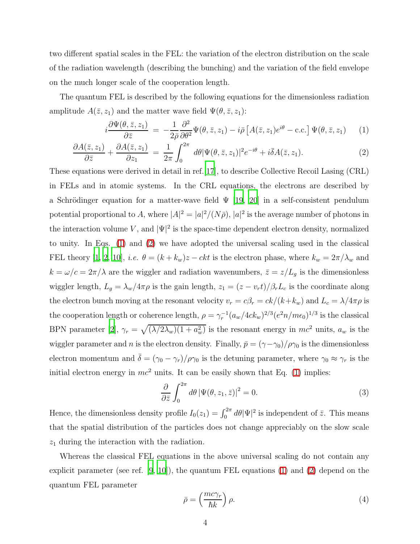two different spatial scales in the FEL: the variation of the electron distribution on the scale of the radiation wavelength (describing the bunching) and the variation of the field envelope on the much longer scale of the cooperation length.

The quantum FEL is described by the following equations for the dimensionless radiation amplitude  $A(\bar{z}, z_1)$  and the matter wave field  $\Psi(\theta, \bar{z}, z_1)$ :

$$
i\frac{\partial\Psi(\theta,\bar{z},z_1)}{\partial\bar{z}} = -\frac{1}{2\bar{\rho}}\frac{\partial^2}{\partial\theta^2}\Psi(\theta,\bar{z},z_1) - i\bar{\rho}\left[A(\bar{z},z_1)e^{i\theta} - \text{c.c.}\right]\Psi(\theta,\bar{z},z_1) \tag{1}
$$

$$
\frac{\partial A(\bar{z}, z_1)}{\partial \bar{z}} + \frac{\partial A(\bar{z}, z_1)}{\partial z_1} = \frac{1}{2\pi} \int_0^{2\pi} d\theta |\Psi(\theta, \bar{z}, z_1)|^2 e^{-i\theta} + i\bar{\delta}A(\bar{z}, z_1). \tag{2}
$$

These equations were derived in detail in ref.[\[17](#page-9-3)], to describe Collective Recoil Lasing (CRL) in FELs and in atomic systems. In the CRL equations, the electrons are described by a Schrödinger equation for a matter-wave field  $\Psi$  [\[19](#page-9-5), [20](#page-9-6)] in a self-consistent pendulum potential proportional to A, where  $|A|^2 = |a|^2/(N\bar{\rho}), |a|^2$  is the average number of photons in the interaction volume V, and  $|\Psi|^2$  is the space-time dependent electron density, normalized to unity. In Eqs. [\(1\)](#page-2-0) and [\(2\)](#page-2-0) we have adopted the universal scaling used in the classical FEL theory [\[1](#page-8-0), [2](#page-8-1), [10\]](#page-8-9), *i.e.*  $\theta = (k + k_w)z - ckt$  is the electron phase, where  $k_w = 2\pi/\lambda_w$  and  $k = \omega/c = 2\pi/\lambda$  are the wiggler and radiation wavenumbers,  $\bar{z} = z/L_g$  is the dimensionless wiggler length,  $L_g = \lambda_w/4\pi\rho$  is the gain length,  $z_1 = (z - v_r t)/\beta_r L_c$  is the coordinate along the electron bunch moving at the resonant velocity  $v_r = c\beta_r = ck/(k+k_w)$  and  $L_c = \lambda/4\pi\rho$  is the cooperation length or coherence length,  $\rho = \gamma_r^{-1} (a_w/4ck_w)^{2/3} (e^2 n/m\epsilon_0)^{1/3}$  is the classical BPN parameter [\[2\]](#page-8-1),  $\gamma_r = \sqrt{(\lambda/2\lambda_w)(1 + a_w^2)}$  is the resonant energy in  $mc^2$  units,  $a_w$  is the wiggler parameter and n is the electron density. Finally,  $\bar{p} = (\gamma - \gamma_0)/\rho_{\gamma_0}$  is the dimensionless electron momentum and  $\bar{\delta} = (\gamma_0 - \gamma_r)/\rho_{\gamma_0}$  is the detuning parameter, where  $\gamma_0 \approx \gamma_r$  is the initial electron energy in  $mc^2$  units. It can be easily shown that Eq. [\(1\)](#page-2-0) implies:

$$
\frac{\partial}{\partial \bar{z}} \int_0^{2\pi} d\theta \left| \Psi(\theta, z_1, \bar{z}) \right|^2 = 0.
$$
\n(3)

<span id="page-3-1"></span><span id="page-3-0"></span>Hence, the dimensionless density profile  $I_0(z_1) = \int_0^{2\pi} d\theta |\Psi|^2$  is independent of  $\bar{z}$ . This means that the spatial distribution of the particles does not change appreciably on the slow scale  $z_1$  during the interaction with the radiation.

<span id="page-3-2"></span>Whereas the classical FEL equations in the above universal scaling do not contain any explicit parameter (see ref.  $[9, 10]$  $[9, 10]$ ), the quantum FEL equations [\(1\)](#page-2-0) and [\(2\)](#page-2-0) depend on the quantum FEL parameter

$$
\bar{\rho} = \left(\frac{mc\gamma_r}{\hbar k}\right)\rho. \tag{4}
$$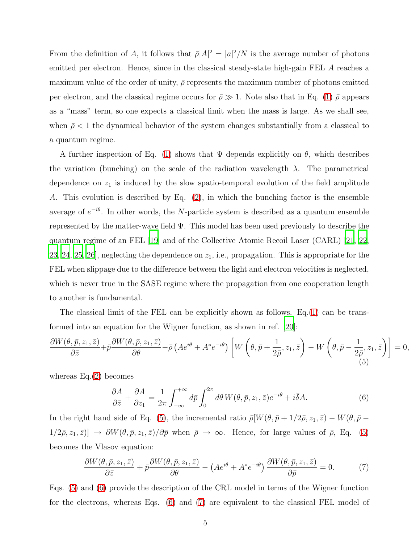From the definition of A, it follows that  $\bar{\rho}|A|^2 = |a|^2/N$  is the average number of photons emitted per electron. Hence, since in the classical steady-state high-gain FEL A reaches a maximum value of the order of unity,  $\bar{\rho}$  represents the maximum number of photons emitted per electron, and the classical regime occurs for  $\bar{\rho} \gg 1$ . Note also that in Eq. [\(1\)](#page-2-0)  $\bar{\rho}$  appears as a "mass" term, so one expects a classical limit when the mass is large. As we shall see, when  $\bar{\rho}$  < 1 the dynamical behavior of the system changes substantially from a classical to a quantum regime.

<span id="page-4-1"></span><span id="page-4-0"></span>A further inspection of Eq. [\(1\)](#page-2-0) shows that  $\Psi$  depends explicitly on  $\theta$ , which describes the variation (bunching) on the scale of the radiation wavelength  $\lambda$ . The parametrical dependence on  $z_1$  is induced by the slow spatio-temporal evolution of the field amplitude A. This evolution is described by Eq. [\(2\)](#page-2-0), in which the bunching factor is the ensemble average of  $e^{-i\theta}$ . In other words, the N-particle system is described as a quantum ensemble represented by the matter-wave field  $\Psi$ . This model has been used previously to describe the quantum regime of an FEL [\[19](#page-9-5)] and of the Collective Atomic Recoil Laser (CARL) [\[21](#page-9-7), [22](#page-9-8), [23,](#page-9-9) [24,](#page-9-10) [25](#page-9-11), [26](#page-9-12), neglecting the dependence on  $z_1$ , i.e., propagation. This is appropriate for the FEL when slippage due to the difference between the light and electron velocities is neglected, which is never true in the SASE regime where the propagation from one cooperation length to another is fundamental.

<span id="page-4-2"></span>The classical limit of the FEL can be explicitly shown as follows. Eq.[\(1\)](#page-2-0) can be transformed into an equation for the Wigner function, as shown in ref. [\[20\]](#page-9-6):

$$
\frac{\partial W(\theta,\bar{p},z_1,\bar{z})}{\partial \bar{z}} + \bar{p}\frac{\partial W(\theta,\bar{p},z_1,\bar{z})}{\partial \theta} - \bar{\rho}\left(Ae^{i\theta} + A^*e^{-i\theta}\right) \left[W\left(\theta,\bar{p} + \frac{1}{2\bar{\rho}},z_1,\bar{z}\right) - W\left(\theta,\bar{p} - \frac{1}{2\bar{\rho}},z_1,\bar{z}\right)\right] = 0,
$$
\n(5)

whereas Eq.[\(2\)](#page-2-0) becomes

$$
\frac{\partial A}{\partial \bar{z}} + \frac{\partial A}{\partial z_1} = \frac{1}{2\pi} \int_{-\infty}^{+\infty} d\bar{p} \int_0^{2\pi} d\theta \, W(\theta, \bar{p}, z_1, \bar{z}) e^{-i\theta} + i \bar{\delta} A. \tag{6}
$$

In the right hand side of Eq. [\(5\)](#page-3-0), the incremental ratio  $\bar{\rho}[W(\theta,\bar{p}+1/2\bar{\rho},z_1,\bar{z})-W(\theta,\bar{p}-\bar{z_1},\bar{z_2}]-W(\theta,\bar{p}-\bar{z_1},\bar{z_3}])$  $1/2\bar{\rho}, z_1, \bar{z})$ ]  $\rightarrow \partial W(\theta, \bar{p}, z_1, \bar{z})/\partial \bar{p}$  when  $\bar{\rho} \rightarrow \infty$ . Hence, for large values of  $\bar{\rho}$ , Eq. [\(5\)](#page-3-0) becomes the Vlasov equation:

<span id="page-4-3"></span>
$$
\frac{\partial W(\theta, \bar{p}, z_1, \bar{z})}{\partial \bar{z}} + \bar{p} \frac{\partial W(\theta, \bar{p}, z_1, \bar{z})}{\partial \theta} - \left( A e^{i\theta} + A^* e^{-i\theta} \right) \frac{\partial W(\theta, \bar{p}, z_1, \bar{z})}{\partial \bar{p}} = 0. \tag{7}
$$

Eqs. [\(5\)](#page-3-0) and [\(6\)](#page-3-1) provide the description of the CRL model in terms of the Wigner function for the electrons, whereas Eqs. [\(6\)](#page-3-1) and [\(7\)](#page-3-2) are equivalent to the classical FEL model of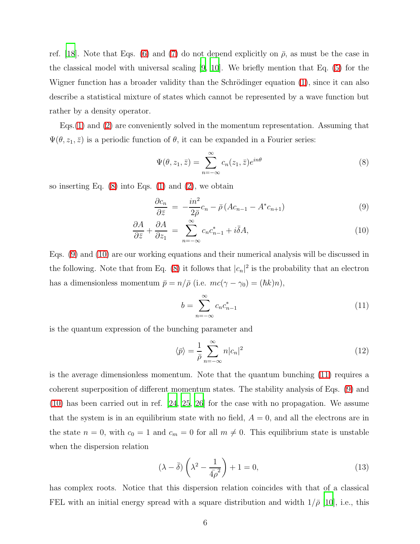ref. [\[18](#page-9-4)]. Note that Eqs. [\(6\)](#page-3-1) and [\(7\)](#page-3-2) do not depend explicitly on  $\bar{\rho}$ , as must be the case in the classical model with universal scaling [\[9,](#page-8-8) [10](#page-8-9)]. We briefly mention that Eq. [\(5\)](#page-3-0) for the Wigner function has a broader validity than the Schrödinger equation  $(1)$ , since it can also describe a statistical mixture of states which cannot be represented by a wave function but rather by a density operator.

Eqs.[\(1\)](#page-2-0) and [\(2\)](#page-2-0) are conveniently solved in the momentum representation. Assuming that  $\Psi(\theta, z_1, \bar{z})$  is a periodic function of  $\theta$ , it can be expanded in a Fourier series:

$$
\Psi(\theta, z_1, \bar{z}) = \sum_{n=-\infty}^{\infty} c_n(z_1, \bar{z}) e^{in\theta}
$$
\n(8)

so inserting Eq.  $(8)$  into Eqs.  $(1)$  and  $(2)$ , we obtain

$$
\frac{\partial c_n}{\partial \bar{z}} = -\frac{in^2}{2\bar{\rho}}c_n - \bar{\rho}\left(Ac_{n-1} - A^*c_{n+1}\right) \tag{9}
$$

$$
\frac{\partial A}{\partial \bar{z}} + \frac{\partial A}{\partial z_1} = \sum_{n=-\infty}^{\infty} c_n c_{n-1}^* + i \bar{\delta} A,\tag{10}
$$

Eqs. [\(9\)](#page-4-1) and [\(10\)](#page-4-1) are our working equations and their numerical analysis will be discussed in the following. Note that from Eq. [\(8\)](#page-4-0) it follows that  $|c_n|^2$  is the probability that an electron has a dimensionless momentum  $\bar{p} = n/\bar{\rho}$  (i.e.  $mc(\gamma - \gamma_0) = (\hbar k)n$ ),

$$
b = \sum_{n = -\infty}^{\infty} c_n c_{n-1}^*
$$
\n(11)

<span id="page-5-0"></span>is the quantum expression of the bunching parameter and

$$
\langle \bar{p} \rangle = \frac{1}{\bar{\rho}} \sum_{n = -\infty}^{\infty} n |c_n|^2 \tag{12}
$$

is the average dimensionless momentum. Note that the quantum bunching [\(11\)](#page-4-2) requires a coherent superposition of different momentum states. The stability analysis of Eqs. [\(9\)](#page-4-1) and [\(10\)](#page-4-1) has been carried out in ref. [\[24,](#page-9-10) [25](#page-9-11), [26](#page-9-12)] for the case with no propagation. We assume that the system is in an equilibrium state with no field,  $A = 0$ , and all the electrons are in the state  $n = 0$ , with  $c_0 = 1$  and  $c_m = 0$  for all  $m \neq 0$ . This equilibrium state is unstable when the dispersion relation

$$
(\lambda - \bar{\delta}) \left( \lambda^2 - \frac{1}{4\bar{\rho}^2} \right) + 1 = 0,\tag{13}
$$

has complex roots. Notice that this dispersion relation coincides with that of a classical FEL with an initial energy spread with a square distribution and width  $1/\bar{\rho}$  [\[10\]](#page-8-9), i.e., this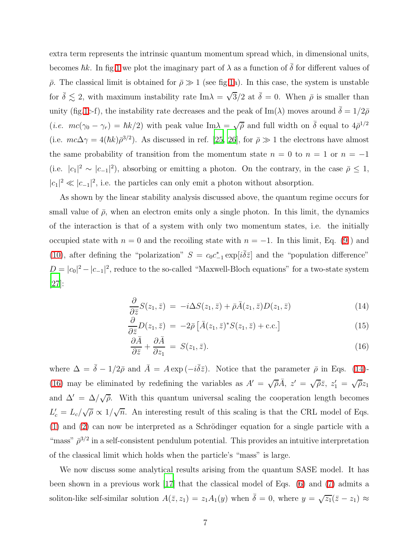extra term represents the intrinsic quantum momentum spread which, in dimensional units, becomes  $\hbar k$ . In fig[.1](#page-10-0) we plot the imaginary part of  $\lambda$  as a function of  $\bar{\delta}$  for different values of  $\bar{\rho}$ . The classical limit is obtained for  $\bar{\rho} \gg 1$  (see fig[.1a](#page-10-0)). In this case, the system is unstable for  $\bar{\delta} \lesssim 2$ , with maximum instability rate Im $\lambda = \sqrt{3}/2$  at  $\bar{\delta} = 0$ . When  $\bar{\rho}$  is smaller than unity (fig[.1c](#page-10-0)-f), the instability rate decreases and the peak of Im( $\lambda$ ) moves around  $\bar{\delta} = 1/2\bar{\rho}$ (*i.e.*  $mc(\gamma_0 - \gamma_r) = \hbar k/2$ ) with peak value Im $\lambda = \sqrt{\overline{\rho}}$  and full width on  $\overline{\delta}$  equal to  $4\overline{\rho}^{1/2}$ (i.e.  $mc\Delta\gamma = 4(\hbar k)\bar{\rho}^{3/2}$ ). As discussed in ref. [\[25](#page-9-11), [26](#page-9-12)], for  $\bar{\rho} \gg 1$  the electrons have almost the same probability of transition from the momentum state  $n = 0$  to  $n = 1$  or  $n = -1$ (i.e.  $|c_1|^2 \sim |c_{-1}|^2$ ), absorbing or emitting a photon. On the contrary, in the case  $\bar{\rho} \leq 1$ ,  $|c_1|^2 \ll |c_{-1}|^2$ , i.e. the particles can only emit a photon without absorption.

As shown by the linear stability analysis discussed above, the quantum regime occurs for small value of  $\bar{\rho}$ , when an electron emits only a single photon. In this limit, the dynamics of the interaction is that of a system with only two momentum states, i.e. the initially occupied state with  $n = 0$  and the recoiling state with  $n = -1$ . In this limit, Eq. [\(9](#page-4-1)) and [\(10\)](#page-4-1), after defining the "polarization"  $S = c_0 c_{-1}^* \exp[i\overline{\delta} \overline{z}]$  and the "population difference"  $D = |c_0|^2 - |c_{-1}|^2$ , reduce to the so-called "Maxwell-Bloch equations" for a two-state system [\[27](#page-9-13)]:

$$
\frac{\partial}{\partial \bar{z}}S(z_1,\bar{z}) = -i\Delta S(z_1,\bar{z}) + \bar{\rho}\bar{A}(z_1,\bar{z})D(z_1,\bar{z})
$$
(14)

$$
\frac{\partial}{\partial \bar{z}}D(z_1,\bar{z}) = -2\bar{\rho}\left[\bar{A}(z_1,\bar{z})^*S(z_1,\bar{z}) + \text{c.c.}\right]
$$
(15)

$$
\frac{\partial \bar{A}}{\partial \bar{z}} + \frac{\partial \bar{A}}{\partial z_1} = S(z_1, \bar{z}). \tag{16}
$$

where  $\Delta = \bar{\delta} - 1/2\bar{\rho}$  and  $\bar{A} = A \exp(-i\bar{\delta}\bar{z})$ . Notice that the parameter  $\bar{\rho}$  in Eqs. [\(14\)](#page-5-0)-[\(16\)](#page-5-0) may be eliminated by redefining the variables as  $A' = \sqrt{\overline{\rho}}\overline{A}$ ,  $z' = \sqrt{\overline{\rho}}\overline{z}$ ,  $z'_1 = \sqrt{\overline{\rho}}z_1$ and  $\Delta' = \Delta/\sqrt{\rho}$ . With this quantum universal scaling the cooperation length becomes  $L'_c = L_c/\sqrt{\overline{\rho}} \propto 1/\sqrt{n}$ . An interesting result of this scaling is that the CRL model of Eqs.  $(1)$  and  $(2)$  can now be interpreted as a Schrödinger equation for a single particle with a "mass"  $\bar{\rho}^{3/2}$  in a self-consistent pendulum potential. This provides an intuitive interpretation of the classical limit which holds when the particle's "mass" is large.

We now discuss some analytical results arising from the quantum SASE model. It has been shown in a previous work [\[17](#page-9-3)] that the classical model of Eqs. [\(6\)](#page-3-1) and [\(7\)](#page-3-2) admits a soliton-like self-similar solution  $A(\bar{z}, z_1) = z_1 A_1(y)$  when  $\bar{\delta} = 0$ , where  $y = \sqrt{z_1}(\bar{z} - z_1) \approx$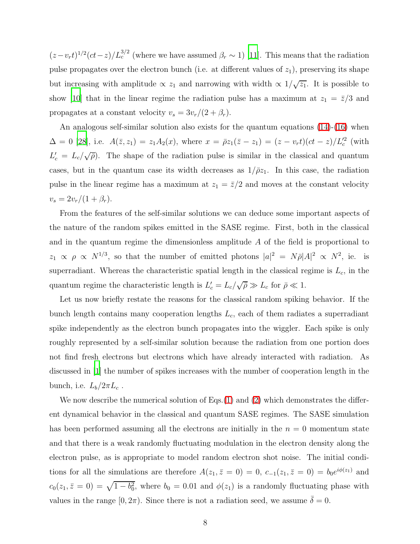$(z-v_r t)^{1/2} (ct-z)/L_c^{3/2}$  (where we have assumed  $\beta_r \sim 1$ ) [\[11](#page-8-10)]. This means that the radiation pulse propagates over the electron bunch (i.e. at different values of  $z_1$ ), preserving its shape but increasing with amplitude  $\propto z_1$  and narrowing with width  $\propto 1/\sqrt{z_1}$ . It is possible to show [\[10](#page-8-9)] that in the linear regime the radiation pulse has a maximum at  $z_1 = \bar{z}/3$  and propagates at a constant velocity  $v_s = 3v_r/(2 + \beta_r)$ .

An analogous self-similar solution also exists for the quantum equations [\(14\)](#page-5-0)-[\(16\)](#page-5-0) when  $\Delta = 0$  [\[28\]](#page-9-14), i.e.  $A(\bar{z}, z_1) = z_1 A_2(x)$ , where  $x = \bar{\rho} z_1(\bar{z} - z_1) = (z - v_r t)(ct - z)/L_c^2$  (with  $L'_c = L_c/\sqrt{\overline{\rho}}$ . The shape of the radiation pulse is similar in the classical and quantum cases, but in the quantum case its width decreases as  $1/\bar{\rho}z_1$ . In this case, the radiation pulse in the linear regime has a maximum at  $z_1 = \overline{z}/2$  and moves at the constant velocity  $v_s = 2v_r/(1+\beta_r).$ 

From the features of the self-similar solutions we can deduce some important aspects of the nature of the random spikes emitted in the SASE regime. First, both in the classical and in the quantum regime the dimensionless amplitude  $A$  of the field is proportional to  $z_1 \propto \rho \propto N^{1/3}$ , so that the number of emitted photons  $|a|^2 = N\bar{\rho}|A|^2 \propto N^2$ , ie. is superradiant. Whereas the characteristic spatial length in the classical regime is  $L_c$ , in the quantum regime the characteristic length is  $L'_c = L_c/\sqrt{\overline{\rho}} \gg L_c$  for  $\overline{\rho} \ll 1$ .

Let us now briefly restate the reasons for the classical random spiking behavior. If the bunch length contains many cooperation lengths  $L_c$ , each of them radiates a superradiant spike independently as the electron bunch propagates into the wiggler. Each spike is only roughly represented by a self-similar solution because the radiation from one portion does not find fresh electrons but electrons which have already interacted with radiation. As discussed in [\[1\]](#page-8-0) the number of spikes increases with the number of cooperation length in the bunch, i.e.  $L_b/2\pi L_c$ .

We now describe the numerical solution of Eqs. $(1)$  and  $(2)$  which demonstrates the different dynamical behavior in the classical and quantum SASE regimes. The SASE simulation has been performed assuming all the electrons are initially in the  $n = 0$  momentum state and that there is a weak randomly fluctuating modulation in the electron density along the electron pulse, as is appropriate to model random electron shot noise. The initial conditions for all the simulations are therefore  $A(z_1, \bar{z}=0) = 0, c_{-1}(z_1, \bar{z}=0) = b_0 e^{i\phi(z_1)}$  and  $c_0(z_1, \bar{z}=0) = \sqrt{1-b_0^2}$ , where  $b_0 = 0.01$  and  $\phi(z_1)$  is a randomly fluctuating phase with values in the range  $[0, 2\pi)$ . Since there is not a radiation seed, we assume  $\delta = 0$ .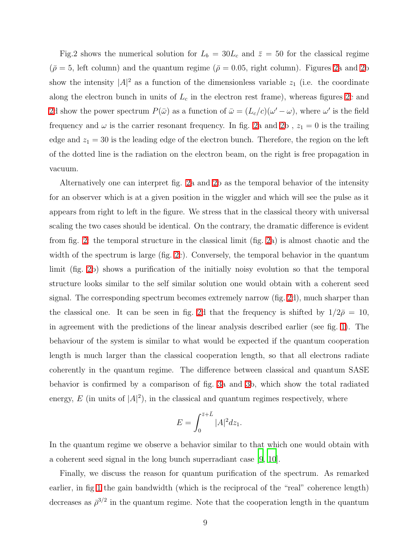Fig.2 shows the numerical solution for  $L_b = 30L_c$  and  $\bar{z} = 50$  for the classical regime  $(\bar{\rho} = 5, \text{ left column})$  and the quantum regime  $(\bar{\rho} = 0.05, \text{ right column})$ . Figures [2a](#page-11-0) and [2b](#page-11-0) show the intensity  $|A|^2$  as a function of the dimensionless variable  $z_1$  (i.e. the coordinate along the electron bunch in units of  $L_c$  in the electron rest frame), whereas figures [2c](#page-11-0) and [2d](#page-11-0) show the power spectrum  $P(\bar{\omega})$  as a function of  $\bar{\omega} = (L_c/c)(\omega' - \omega)$ , where  $\omega'$  is the field frequency and  $\omega$  is the carrier resonant frequency. In fig. [2a](#page-11-0) and [2b](#page-11-0) ,  $z_1=0$  is the trailing edge and  $z_1 = 30$  is the leading edge of the electron bunch. Therefore, the region on the left of the dotted line is the radiation on the electron beam, on the right is free propagation in vacuum.

<span id="page-8-5"></span><span id="page-8-4"></span><span id="page-8-3"></span><span id="page-8-2"></span><span id="page-8-1"></span><span id="page-8-0"></span>Alternatively one can interpret fig. [2a](#page-11-0) and [2b](#page-11-0) as the temporal behavior of the intensity for an observer which is at a given position in the wiggler and which will see the pulse as it appears from right to left in the figure. We stress that in the classical theory with universal scaling the two cases should be identical. On the contrary, the dramatic difference is evident from fig. [2:](#page-11-0) the temporal structure in the classical limit (fig. [2a](#page-11-0)) is almost chaotic and the width of the spectrum is large (fig. [2c](#page-11-0)). Conversely, the temporal behavior in the quantum limit (fig. [2b](#page-11-0)) shows a purification of the initially noisy evolution so that the temporal structure looks similar to the self similar solution one would obtain with a coherent seed signal. The corresponding spectrum becomes extremely narrow (fig. [2d](#page-11-0)), much sharper than the classical one. It can be seen in fig. [2d](#page-11-0) that the frequency is shifted by  $1/2\bar{\rho} = 10$ , in agreement with the predictions of the linear analysis described earlier (see fig. [1\)](#page-10-0). The behaviour of the system is similar to what would be expected if the quantum cooperation length is much larger than the classical cooperation length, so that all electrons radiate coherently in the quantum regime. The difference between classical and quantum SASE behavior is confirmed by a comparison of fig. [3a](#page-12-0) and [3b](#page-12-0), which show the total radiated energy,  $E$  (in units of  $|A|^2$ ), in the classical and quantum regimes respectively, where

$$
E = \int_0^{\bar{z}+\bar{L}} |A|^2 dz_1.
$$

<span id="page-8-10"></span><span id="page-8-9"></span><span id="page-8-8"></span><span id="page-8-7"></span><span id="page-8-6"></span>In the quantum regime we observe a behavior similar to that which one would obtain with a coherent seed signal in the long bunch superradiant case [\[9,](#page-8-8) [10\]](#page-8-9).

<span id="page-8-12"></span><span id="page-8-11"></span>Finally, we discuss the reason for quantum purification of the spectrum. As remarked earlier, in fig [1](#page-10-0) the gain bandwidth (which is the reciprocal of the "real" coherence length) decreases as  $\bar{\rho}^{3/2}$  in the quantum regime. Note that the cooperation length in the quantum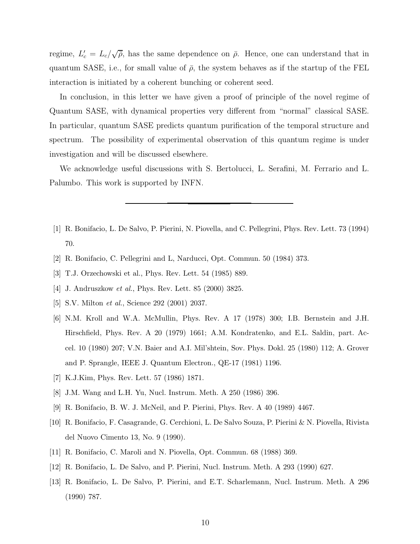<span id="page-9-1"></span><span id="page-9-0"></span>regime,  $L'_{c} = L_{c}/\sqrt{\overline{\rho}}$ , has the same dependence on  $\overline{\rho}$ . Hence, one can understand that in quantum SASE, i.e., for small value of  $\bar{\rho}$ , the system behaves as if the startup of the FEL interaction is initiated by a coherent bunching or coherent seed.

<span id="page-9-5"></span><span id="page-9-4"></span><span id="page-9-3"></span><span id="page-9-2"></span>In conclusion, in this letter we have given a proof of principle of the novel regime of Quantum SASE, with dynamical properties very different from "normal" classical SASE. In particular, quantum SASE predicts quantum purification of the temporal structure and spectrum. The possibility of experimental observation of this quantum regime is under investigation and will be discussed elsewhere.

<span id="page-9-10"></span><span id="page-9-9"></span><span id="page-9-8"></span><span id="page-9-7"></span><span id="page-9-6"></span>We acknowledge useful discussions with S. Bertolucci, L. Serafini, M. Ferrario and L. Palumbo. This work is supported by INFN.

- <span id="page-9-13"></span><span id="page-9-12"></span><span id="page-9-11"></span>[1] R. Bonifacio, L. De Salvo, P. Pierini, N. Piovella, and C. Pellegrini, Phys. Rev. Lett. 73 (1994) 70.
- <span id="page-9-14"></span>[2] R. Bonifacio, C. Pellegrini and L, Narducci, Opt. Commun. 50 (1984) 373.
- [3] T.J. Orzechowski et al., Phys. Rev. Lett. 54 (1985) 889.
- [4] J. Andruszkow et al., Phys. Rev. Lett. 85 (2000) 3825.
- [5] S.V. Milton *et al.*, Science 292 (2001) 2037.
- [6] N.M. Kroll and W.A. McMullin, Phys. Rev. A 17 (1978) 300; I.B. Bernstein and J.H. Hirschfield, Phys. Rev. A 20 (1979) 1661; A.M. Kondratenko, and E.L. Saldin, part. Accel. 10 (1980) 207; V.N. Baier and A.I. Mil'shtein, Sov. Phys. Dokl. 25 (1980) 112; A. Grover and P. Sprangle, IEEE J. Quantum Electron., QE-17 (1981) 1196.
- [7] K.J.Kim, Phys. Rev. Lett. 57 (1986) 1871.
- [8] J.M. Wang and L.H. Yu, Nucl. Instrum. Meth. A 250 (1986) 396.
- [9] R. Bonifacio, B. W. J. McNeil, and P. Pierini, Phys. Rev. A 40 (1989) 4467.
- [10] R. Bonifacio, F. Casagrande, G. Cerchioni, L. De Salvo Souza, P. Pierini & N. Piovella, Rivista del Nuovo Cimento 13, No. 9 (1990).
- [11] R. Bonifacio, C. Maroli and N. Piovella, Opt. Commun. 68 (1988) 369.
- [12] R. Bonifacio, L. De Salvo, and P. Pierini, Nucl. Instrum. Meth. A 293 (1990) 627.
- [13] R. Bonifacio, L. De Salvo, P. Pierini, and E.T. Scharlemann, Nucl. Instrum. Meth. A 296 (1990) 787.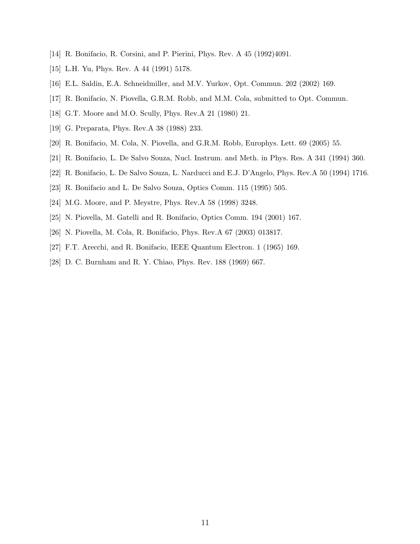- [14] R. Bonifacio, R. Corsini, and P. Pierini, Phys. Rev. A 45 (1992)4091.
- [15] L.H. Yu, Phys. Rev. A 44 (1991) 5178.
- [16] E.L. Saldin, E.A. Schneidmiller, and M.V. Yurkov, Opt. Commun. 202 (2002) 169.
- [17] R. Bonifacio, N. Piovella, G.R.M. Robb, and M.M. Cola, submitted to Opt. Commun.
- [18] G.T. Moore and M.O. Scully, Phys. Rev.A 21 (1980) 21.
- [19] G. Preparata, Phys. Rev.A 38 (1988) 233.
- [20] R. Bonifacio, M. Cola, N. Piovella, and G.R.M. Robb, Europhys. Lett. 69 (2005) 55.
- [21] R. Bonifacio, L. De Salvo Souza, Nucl. Instrum. and Meth. in Phys. Res. A 341 (1994) 360.
- [22] R. Bonifacio, L. De Salvo Souza, L. Narducci and E.J. D'Angelo, Phys. Rev.A 50 (1994) 1716.
- [23] R. Bonifacio and L. De Salvo Souza, Optics Comm. 115 (1995) 505.
- [24] M.G. Moore, and P. Meystre, Phys. Rev.A 58 (1998) 3248.
- [25] N. Piovella, M. Gatelli and R. Bonifacio, Optics Comm. 194 (2001) 167.
- [26] N. Piovella, M. Cola, R. Bonifacio, Phys. Rev.A 67 (2003) 013817.
- [27] F.T. Arecchi, and R. Bonifacio, IEEE Quantum Electron. 1 (1965) 169.
- <span id="page-10-0"></span>[28] D. C. Burnham and R. Y. Chiao, Phys. Rev. 188 (1969) 667.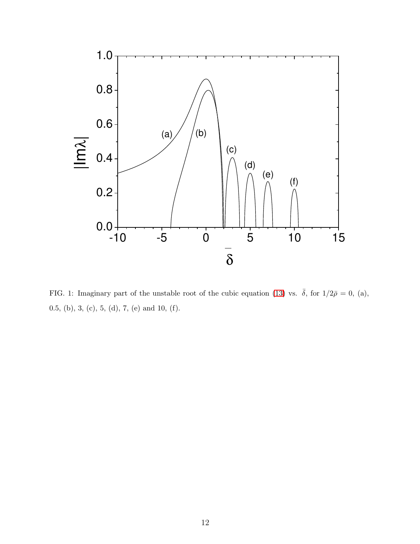

<span id="page-11-0"></span>FIG. 1: Imaginary part of the unstable root of the cubic equation [\(13\)](#page-4-3) vs.  $\bar{\delta}$ , for  $1/2\bar{\rho} = 0$ , (a), 0.5, (b), 3, (c), 5, (d), 7, (e) and 10, (f).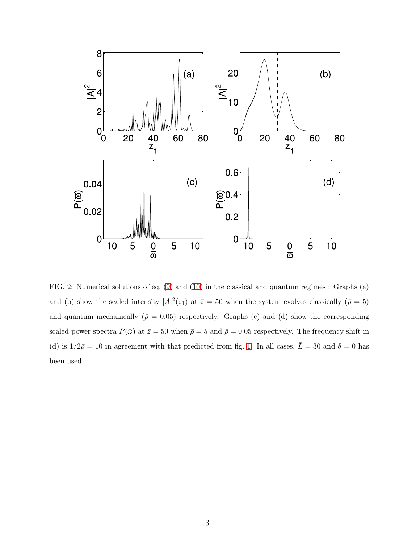

<span id="page-12-0"></span>FIG. 2: Numerical solutions of eq. [\(9\)](#page-4-1) and [\(10\)](#page-4-1) in the classical and quantum regimes : Graphs (a) and (b) show the scaled intensity  $|A|^2(z_1)$  at  $\bar{z} = 50$  when the system evolves classically  $(\bar{\rho} = 5)$ and quantum mechanically ( $\bar{\rho} = 0.05$ ) respectively. Graphs (c) and (d) show the corresponding scaled power spectra  $P(\bar{\omega})$  at  $\bar{z} = 50$  when  $\bar{\rho} = 5$  and  $\bar{\rho} = 0.05$  respectively. The frequency shift in (d) is  $1/2\bar{\rho} = 10$  in agreement with that predicted from fig. [1.](#page-10-0) In all cases,  $\bar{L} = 30$  and  $\delta = 0$  has been used.